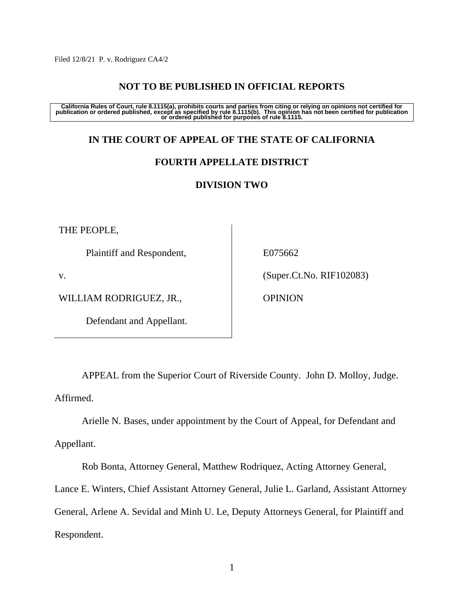Filed 12/8/21 P. v. Rodriguez CA4/2

## **NOT TO BE PUBLISHED IN OFFICIAL REPORTS**

California Rules of Court, rule 8.1115(a), prohibits courts and parties from citing or relying on opinions not certified for<br>publication or ordered published, except as specified by rule 8.1115(b). This opinion has not bee

# **IN THE COURT OF APPEAL OF THE STATE OF CALIFORNIA**

### **FOURTH APPELLATE DISTRICT**

### **DIVISION TWO**

THE PEOPLE,

Plaintiff and Respondent,

v.

WILLIAM RODRIGUEZ, JR.,

Defendant and Appellant.

E075662

(Super.Ct.No. RIF102083)

OPINION

APPEAL from the Superior Court of Riverside County. John D. Molloy, Judge. Affirmed.

Arielle N. Bases, under appointment by the Court of Appeal, for Defendant and Appellant.

Rob Bonta, Attorney General, Matthew Rodriquez, Acting Attorney General,

Lance E. Winters, Chief Assistant Attorney General, Julie L. Garland, Assistant Attorney

General, Arlene A. Sevidal and Minh U. Le, Deputy Attorneys General, for Plaintiff and Respondent.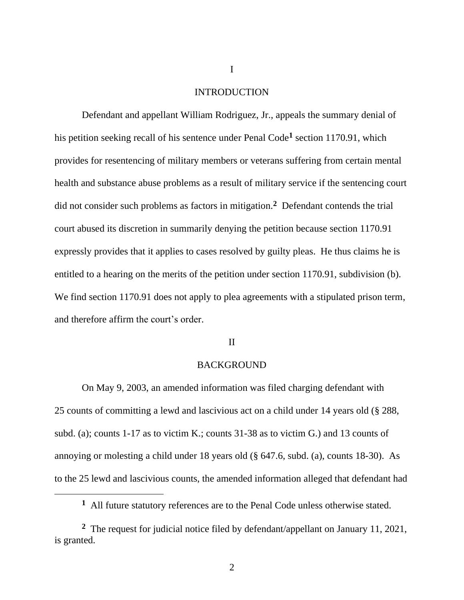#### INTRODUCTION

Defendant and appellant William Rodriguez, Jr., appeals the summary denial of his petition seeking recall of his sentence under Penal Code**<sup>1</sup>** section 1170.91, which provides for resentencing of military members or veterans suffering from certain mental health and substance abuse problems as a result of military service if the sentencing court did not consider such problems as factors in mitigation. **2** Defendant contends the trial court abused its discretion in summarily denying the petition because section 1170.91 expressly provides that it applies to cases resolved by guilty pleas. He thus claims he is entitled to a hearing on the merits of the petition under section 1170.91, subdivision (b). We find section 1170.91 does not apply to plea agreements with a stipulated prison term, and therefore affirm the court's order.

### II

#### BACKGROUND

On May 9, 2003, an amended information was filed charging defendant with 25 counts of committing a lewd and lascivious act on a child under 14 years old (§ 288, subd. (a); counts 1-17 as to victim K.; counts 31-38 as to victim G.) and 13 counts of annoying or molesting a child under 18 years old (§ 647.6, subd. (a), counts 18-30). As to the 25 lewd and lascivious counts, the amended information alleged that defendant had

I

**<sup>1</sup>** All future statutory references are to the Penal Code unless otherwise stated.

<sup>&</sup>lt;sup>2</sup> The request for judicial notice filed by defendant/appellant on January 11, 2021, is granted.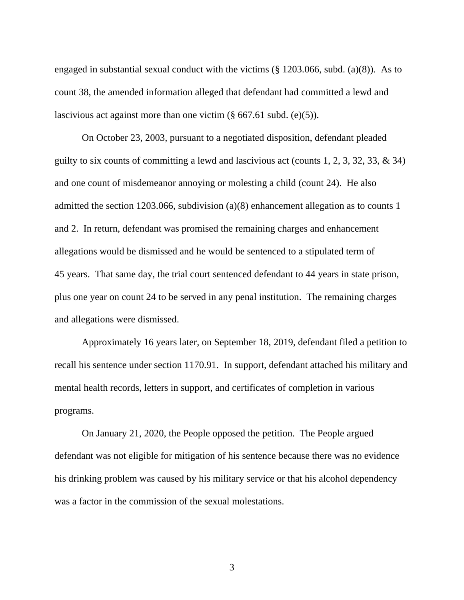engaged in substantial sexual conduct with the victims (§ 1203.066, subd. (a)(8)). As to count 38, the amended information alleged that defendant had committed a lewd and lascivious act against more than one victim (§ 667.61 subd. (e)(5)).

On October 23, 2003, pursuant to a negotiated disposition, defendant pleaded guilty to six counts of committing a lewd and lascivious act (counts 1, 2, 3, 32, 33, & 34) and one count of misdemeanor annoying or molesting a child (count 24). He also admitted the section 1203.066, subdivision (a)(8) enhancement allegation as to counts 1 and 2. In return, defendant was promised the remaining charges and enhancement allegations would be dismissed and he would be sentenced to a stipulated term of 45 years. That same day, the trial court sentenced defendant to 44 years in state prison, plus one year on count 24 to be served in any penal institution. The remaining charges and allegations were dismissed.

Approximately 16 years later, on September 18, 2019, defendant filed a petition to recall his sentence under section 1170.91. In support, defendant attached his military and mental health records, letters in support, and certificates of completion in various programs.

On January 21, 2020, the People opposed the petition. The People argued defendant was not eligible for mitigation of his sentence because there was no evidence his drinking problem was caused by his military service or that his alcohol dependency was a factor in the commission of the sexual molestations.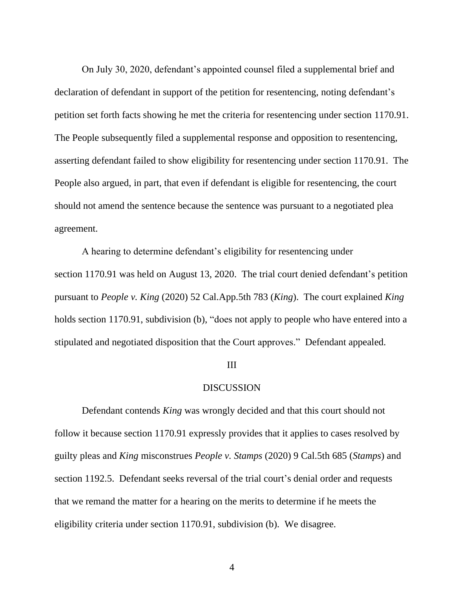On July 30, 2020, defendant's appointed counsel filed a supplemental brief and declaration of defendant in support of the petition for resentencing, noting defendant's petition set forth facts showing he met the criteria for resentencing under section 1170.91. The People subsequently filed a supplemental response and opposition to resentencing, asserting defendant failed to show eligibility for resentencing under section 1170.91. The People also argued, in part, that even if defendant is eligible for resentencing, the court should not amend the sentence because the sentence was pursuant to a negotiated plea agreement.

A hearing to determine defendant's eligibility for resentencing under section 1170.91 was held on August 13, 2020. The trial court denied defendant's petition pursuant to *People v. King* (2020) 52 Cal.App.5th 783 (*King*). The court explained *King* holds section 1170.91, subdivision (b), "does not apply to people who have entered into a stipulated and negotiated disposition that the Court approves." Defendant appealed.

#### III

### DISCUSSION

Defendant contends *King* was wrongly decided and that this court should not follow it because section 1170.91 expressly provides that it applies to cases resolved by guilty pleas and *King* misconstrues *People v. Stamps* (2020) 9 Cal.5th 685 (*Stamps*) and section 1192.5. Defendant seeks reversal of the trial court's denial order and requests that we remand the matter for a hearing on the merits to determine if he meets the eligibility criteria under section 1170.91, subdivision (b). We disagree.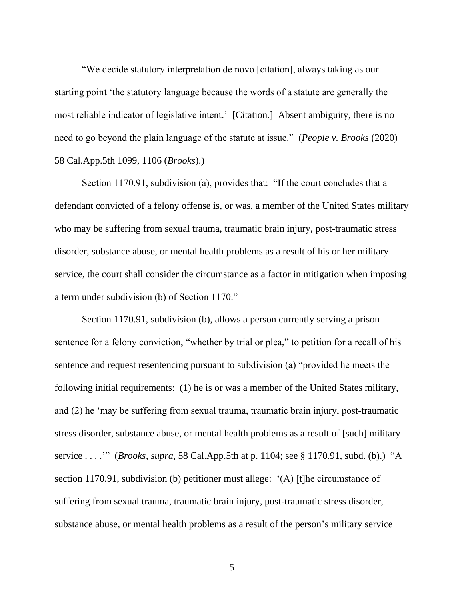"We decide statutory interpretation de novo [citation], always taking as our starting point 'the statutory language because the words of a statute are generally the most reliable indicator of legislative intent.' [Citation.] Absent ambiguity, there is no need to go beyond the plain language of the statute at issue." (*People v. Brooks* (2020) 58 Cal.App.5th 1099, 1106 (*Brooks*).)

Section 1170.91, subdivision (a), provides that: "If the court concludes that a defendant convicted of a felony offense is, or was, a member of the United States military who may be suffering from sexual trauma, traumatic brain injury, post-traumatic stress disorder, substance abuse, or mental health problems as a result of his or her military service, the court shall consider the circumstance as a factor in mitigation when imposing a term under subdivision (b) of Section 1170."

Section 1170.91, subdivision (b), allows a person currently serving a prison sentence for a felony conviction, "whether by trial or plea," to petition for a recall of his sentence and request resentencing pursuant to subdivision (a) "provided he meets the following initial requirements: (1) he is or was a member of the United States military, and (2) he 'may be suffering from sexual trauma, traumatic brain injury, post-traumatic stress disorder, substance abuse, or mental health problems as a result of [such] military service . . . .'" (*Brooks*, *supra*, 58 Cal.App.5th at p. 1104; see § 1170.91, subd. (b).) "A section 1170.91, subdivision (b) petitioner must allege: '(A) [t]he circumstance of suffering from sexual trauma, traumatic brain injury, post-traumatic stress disorder, substance abuse, or mental health problems as a result of the person's military service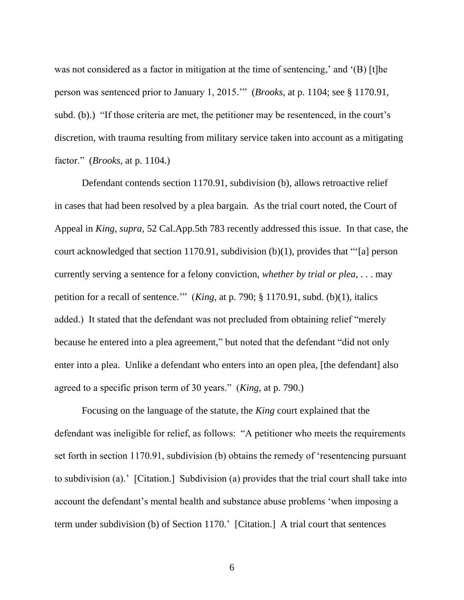was not considered as a factor in mitigation at the time of sentencing,' and '(B) [t]he person was sentenced prior to January 1, 2015.'" (*Brooks*, at p. 1104; see § 1170.91, subd. (b).) "If those criteria are met, the petitioner may be resentenced, in the court's discretion, with trauma resulting from military service taken into account as a mitigating factor." (*Brooks*, at p. 1104.)

Defendant contends section 1170.91, subdivision (b), allows retroactive relief in cases that had been resolved by a plea bargain. As the trial court noted, the Court of Appeal in *King*, *supra*, 52 Cal.App.5th 783 recently addressed this issue. In that case, the court acknowledged that section 1170.91, subdivision (b)(1), provides that "'[a] person currently serving a sentence for a felony conviction, *whether by trial or plea*, . . . may petition for a recall of sentence.'" (*King*, at p. 790; § 1170.91, subd. (b)(1), italics added.) It stated that the defendant was not precluded from obtaining relief "merely because he entered into a plea agreement," but noted that the defendant "did not only enter into a plea. Unlike a defendant who enters into an open plea, [the defendant] also agreed to a specific prison term of 30 years." (*King*, at p. 790.)

Focusing on the language of the statute, the *King* court explained that the defendant was ineligible for relief, as follows: "A petitioner who meets the requirements set forth in section 1170.91, subdivision (b) obtains the remedy of 'resentencing pursuant to subdivision (a).' [Citation.] Subdivision (a) provides that the trial court shall take into account the defendant's mental health and substance abuse problems 'when imposing a term under subdivision (b) of Section 1170.' [Citation.] A trial court that sentences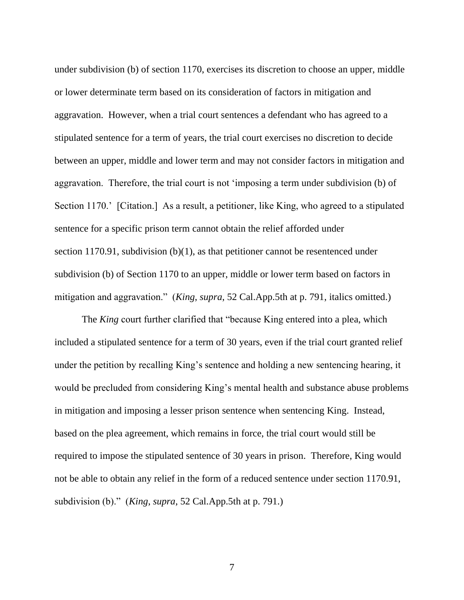under subdivision (b) of section 1170, exercises its discretion to choose an upper, middle or lower determinate term based on its consideration of factors in mitigation and aggravation. However, when a trial court sentences a defendant who has agreed to a stipulated sentence for a term of years, the trial court exercises no discretion to decide between an upper, middle and lower term and may not consider factors in mitigation and aggravation. Therefore, the trial court is not 'imposing a term under subdivision (b) of Section 1170.' [Citation.] As a result, a petitioner, like King, who agreed to a stipulated sentence for a specific prison term cannot obtain the relief afforded under section 1170.91, subdivision (b)(1), as that petitioner cannot be resentenced under subdivision (b) of Section 1170 to an upper, middle or lower term based on factors in mitigation and aggravation." (*King*, *supra*, 52 Cal.App.5th at p. 791, italics omitted.)

The *King* court further clarified that "because King entered into a plea, which included a stipulated sentence for a term of 30 years, even if the trial court granted relief under the petition by recalling King's sentence and holding a new sentencing hearing, it would be precluded from considering King's mental health and substance abuse problems in mitigation and imposing a lesser prison sentence when sentencing King. Instead, based on the plea agreement, which remains in force, the trial court would still be required to impose the stipulated sentence of 30 years in prison. Therefore, King would not be able to obtain any relief in the form of a reduced sentence under section 1170.91, subdivision (b)." (*King*, *supra*, 52 Cal.App.5th at p. 791.)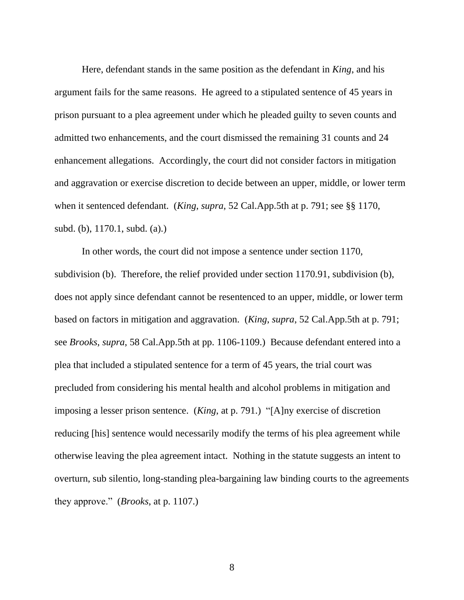Here, defendant stands in the same position as the defendant in *King*, and his argument fails for the same reasons. He agreed to a stipulated sentence of 45 years in prison pursuant to a plea agreement under which he pleaded guilty to seven counts and admitted two enhancements, and the court dismissed the remaining 31 counts and 24 enhancement allegations. Accordingly, the court did not consider factors in mitigation and aggravation or exercise discretion to decide between an upper, middle, or lower term when it sentenced defendant. (*King*, *supra*, 52 Cal.App.5th at p. 791; see §§ 1170, subd. (b), 1170.1, subd. (a).)

In other words, the court did not impose a sentence under section 1170, subdivision (b). Therefore, the relief provided under section 1170.91, subdivision (b), does not apply since defendant cannot be resentenced to an upper, middle, or lower term based on factors in mitigation and aggravation. (*King*, *supra*, 52 Cal.App.5th at p. 791; see *Brooks*, *supra*, 58 Cal.App.5th at pp. 1106-1109.) Because defendant entered into a plea that included a stipulated sentence for a term of 45 years, the trial court was precluded from considering his mental health and alcohol problems in mitigation and imposing a lesser prison sentence. (*King*, at p. 791.) "[A]ny exercise of discretion reducing [his] sentence would necessarily modify the terms of his plea agreement while otherwise leaving the plea agreement intact. Nothing in the statute suggests an intent to overturn, sub silentio, long-standing plea-bargaining law binding courts to the agreements they approve." (*Brooks*, at p. 1107.)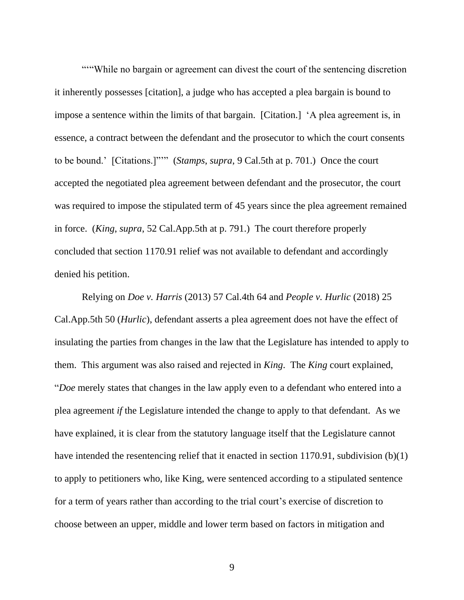""While no bargain or agreement can divest the court of the sentencing discretion it inherently possesses [citation], a judge who has accepted a plea bargain is bound to impose a sentence within the limits of that bargain. [Citation.] 'A plea agreement is, in essence, a contract between the defendant and the prosecutor to which the court consents to be bound.' [Citations.]"'" (*Stamps*, *supra*, 9 Cal.5th at p. 701.) Once the court accepted the negotiated plea agreement between defendant and the prosecutor, the court was required to impose the stipulated term of 45 years since the plea agreement remained in force. (*King*, *supra*, 52 Cal.App.5th at p. 791.) The court therefore properly concluded that section 1170.91 relief was not available to defendant and accordingly denied his petition.

Relying on *Doe v. Harris* (2013) 57 Cal.4th 64 and *People v. Hurlic* (2018) 25 Cal.App.5th 50 (*Hurlic*), defendant asserts a plea agreement does not have the effect of insulating the parties from changes in the law that the Legislature has intended to apply to them. This argument was also raised and rejected in *King*. The *King* court explained, "*Doe* merely states that changes in the law apply even to a defendant who entered into a plea agreement *if* the Legislature intended the change to apply to that defendant. As we have explained, it is clear from the statutory language itself that the Legislature cannot have intended the resentencing relief that it enacted in section 1170.91, subdivision (b)(1) to apply to petitioners who, like King, were sentenced according to a stipulated sentence for a term of years rather than according to the trial court's exercise of discretion to choose between an upper, middle and lower term based on factors in mitigation and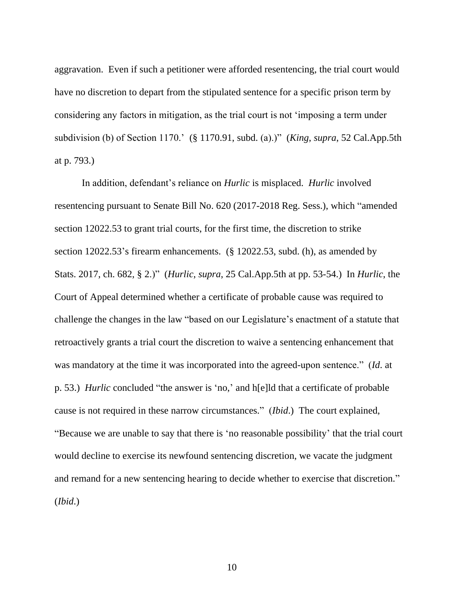aggravation. Even if such a petitioner were afforded resentencing, the trial court would have no discretion to depart from the stipulated sentence for a specific prison term by considering any factors in mitigation, as the trial court is not 'imposing a term under subdivision (b) of Section 1170.' (§ 1170.91, subd. (a).)" (*King*, *supra*, 52 Cal.App.5th at p. 793.)

In addition, defendant's reliance on *Hurlic* is misplaced. *Hurlic* involved resentencing pursuant to Senate Bill No. 620 (2017-2018 Reg. Sess.), which "amended section 12022.53 to grant trial courts, for the first time, the discretion to strike section 12022.53's firearm enhancements. (§ 12022.53, subd. (h), as amended by Stats. 2017, ch. 682, § 2.)" (*Hurlic*, *supra*, 25 Cal.App.5th at pp. 53-54.) In *Hurlic*, the Court of Appeal determined whether a certificate of probable cause was required to challenge the changes in the law "based on our Legislature's enactment of a statute that retroactively grants a trial court the discretion to waive a sentencing enhancement that was mandatory at the time it was incorporated into the agreed-upon sentence." (*Id*. at p. 53.) *Hurlic* concluded "the answer is 'no,' and h[e]ld that a certificate of probable cause is not required in these narrow circumstances." (*Ibid*.) The court explained, "Because we are unable to say that there is 'no reasonable possibility' that the trial court would decline to exercise its newfound sentencing discretion, we vacate the judgment and remand for a new sentencing hearing to decide whether to exercise that discretion." (*Ibid*.)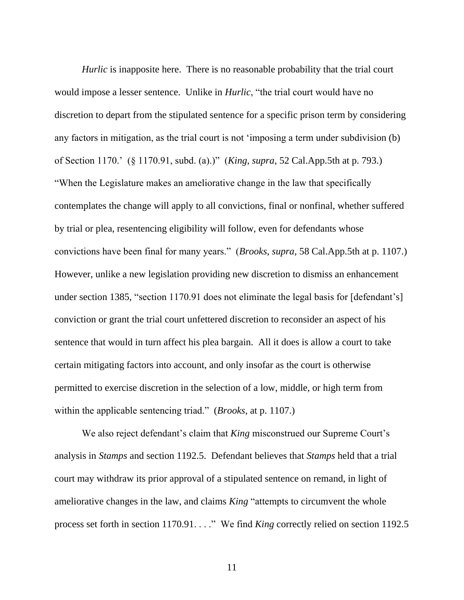*Hurlic* is inapposite here. There is no reasonable probability that the trial court would impose a lesser sentence. Unlike in *Hurlic*, "the trial court would have no discretion to depart from the stipulated sentence for a specific prison term by considering any factors in mitigation, as the trial court is not 'imposing a term under subdivision (b) of Section 1170.' (§ 1170.91, subd. (a).)" (*King*, *supra*, 52 Cal.App.5th at p. 793.) "When the Legislature makes an ameliorative change in the law that specifically contemplates the change will apply to all convictions, final or nonfinal, whether suffered by trial or plea, resentencing eligibility will follow, even for defendants whose convictions have been final for many years." (*Brooks*, *supra*, 58 Cal.App.5th at p. 1107.) However, unlike a new legislation providing new discretion to dismiss an enhancement under section 1385, "section 1170.91 does not eliminate the legal basis for [defendant's] conviction or grant the trial court unfettered discretion to reconsider an aspect of his sentence that would in turn affect his plea bargain. All it does is allow a court to take certain mitigating factors into account, and only insofar as the court is otherwise permitted to exercise discretion in the selection of a low, middle, or high term from within the applicable sentencing triad." (*Brooks*, at p. 1107.)

We also reject defendant's claim that *King* misconstrued our Supreme Court's analysis in *Stamps* and section 1192.5. Defendant believes that *Stamps* held that a trial court may withdraw its prior approval of a stipulated sentence on remand, in light of ameliorative changes in the law, and claims *King* "attempts to circumvent the whole process set forth in section 1170.91. . . ." We find *King* correctly relied on section 1192.5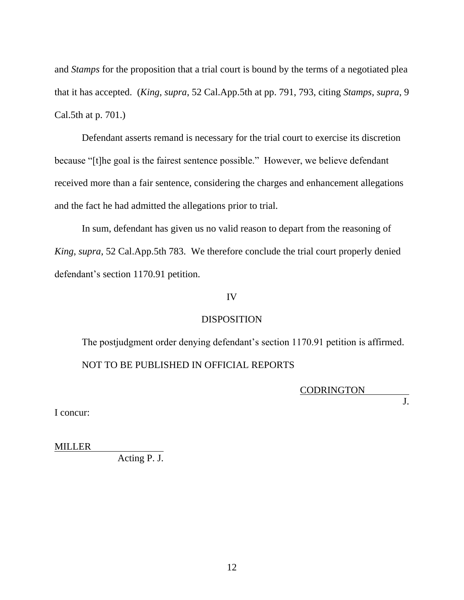and *Stamps* for the proposition that a trial court is bound by the terms of a negotiated plea that it has accepted. (*King*, *supra*, 52 Cal.App.5th at pp. 791, 793, citing *Stamps*, *supra*, 9 Cal.5th at p. 701.)

Defendant asserts remand is necessary for the trial court to exercise its discretion because "[t]he goal is the fairest sentence possible." However, we believe defendant received more than a fair sentence, considering the charges and enhancement allegations and the fact he had admitted the allegations prior to trial.

In sum, defendant has given us no valid reason to depart from the reasoning of *King*, *supra*, 52 Cal.App.5th 783. We therefore conclude the trial court properly denied defendant's section 1170.91 petition.

### IV

### DISPOSITION

The postjudgment order denying defendant's section 1170.91 petition is affirmed. NOT TO BE PUBLISHED IN OFFICIAL REPORTS

CODRINGTON

 $\overline{J}$ .

I concur:

MILLER

Acting  $\overline{P. J.}$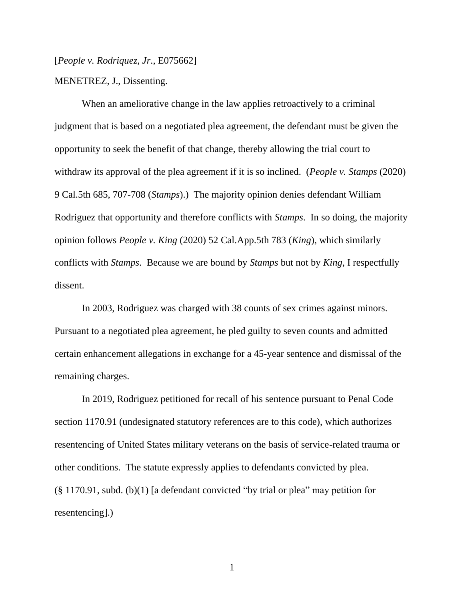[*People v. Rodriquez, Jr*., E075662]

MENETREZ, J., Dissenting.

When an ameliorative change in the law applies retroactively to a criminal judgment that is based on a negotiated plea agreement, the defendant must be given the opportunity to seek the benefit of that change, thereby allowing the trial court to withdraw its approval of the plea agreement if it is so inclined. (*People v. Stamps* (2020) 9 Cal.5th 685, 707-708 (*Stamps*).) The majority opinion denies defendant William Rodriguez that opportunity and therefore conflicts with *Stamps*. In so doing, the majority opinion follows *People v. King* (2020) 52 Cal.App.5th 783 (*King*), which similarly conflicts with *Stamps*. Because we are bound by *Stamps* but not by *King*, I respectfully dissent.

In 2003, Rodriguez was charged with 38 counts of sex crimes against minors. Pursuant to a negotiated plea agreement, he pled guilty to seven counts and admitted certain enhancement allegations in exchange for a 45-year sentence and dismissal of the remaining charges.

In 2019, Rodriguez petitioned for recall of his sentence pursuant to Penal Code section 1170.91 (undesignated statutory references are to this code), which authorizes resentencing of United States military veterans on the basis of service-related trauma or other conditions. The statute expressly applies to defendants convicted by plea. (§ 1170.91, subd. (b)(1) [a defendant convicted "by trial or plea" may petition for resentencing].)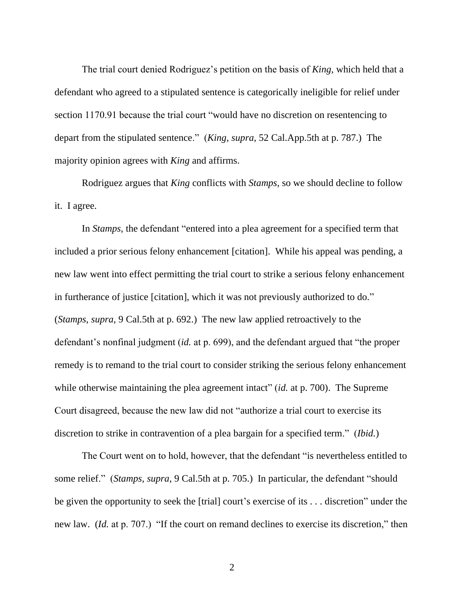The trial court denied Rodriguez's petition on the basis of *King*, which held that a defendant who agreed to a stipulated sentence is categorically ineligible for relief under section 1170.91 because the trial court "would have no discretion on resentencing to depart from the stipulated sentence." (*King*, *supra*, 52 Cal.App.5th at p. 787.) The majority opinion agrees with *King* and affirms.

Rodriguez argues that *King* conflicts with *Stamps*, so we should decline to follow it. I agree.

In *Stamps*, the defendant "entered into a plea agreement for a specified term that included a prior serious felony enhancement [citation]. While his appeal was pending, a new law went into effect permitting the trial court to strike a serious felony enhancement in furtherance of justice [citation], which it was not previously authorized to do." (*Stamps*, *supra*, 9 Cal.5th at p. 692.) The new law applied retroactively to the defendant's nonfinal judgment (*id.* at p. 699), and the defendant argued that "the proper remedy is to remand to the trial court to consider striking the serious felony enhancement while otherwise maintaining the plea agreement intact" (*id.* at p. 700). The Supreme Court disagreed, because the new law did not "authorize a trial court to exercise its discretion to strike in contravention of a plea bargain for a specified term." (*Ibid.*)

The Court went on to hold, however, that the defendant "is nevertheless entitled to some relief." (*Stamps*, *supra*, 9 Cal.5th at p. 705.) In particular, the defendant "should be given the opportunity to seek the [trial] court's exercise of its . . . discretion" under the new law. (*Id.* at p. 707.) "If the court on remand declines to exercise its discretion," then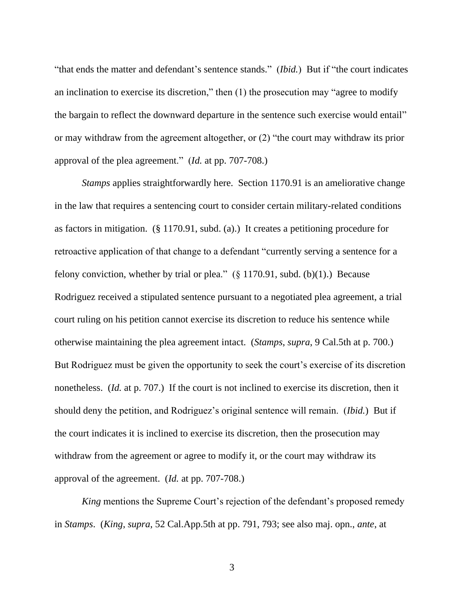"that ends the matter and defendant's sentence stands." (*Ibid.*) But if "the court indicates an inclination to exercise its discretion," then (1) the prosecution may "agree to modify the bargain to reflect the downward departure in the sentence such exercise would entail" or may withdraw from the agreement altogether, or (2) "the court may withdraw its prior approval of the plea agreement." (*Id.* at pp. 707-708.)

*Stamps* applies straightforwardly here. Section 1170.91 is an ameliorative change in the law that requires a sentencing court to consider certain military-related conditions as factors in mitigation. (§ 1170.91, subd. (a).) It creates a petitioning procedure for retroactive application of that change to a defendant "currently serving a sentence for a felony conviction, whether by trial or plea."  $(\S 1170.91, \text{subd. (b)}(1))$ . Because Rodriguez received a stipulated sentence pursuant to a negotiated plea agreement, a trial court ruling on his petition cannot exercise its discretion to reduce his sentence while otherwise maintaining the plea agreement intact. (*Stamps*, *supra*, 9 Cal.5th at p. 700.) But Rodriguez must be given the opportunity to seek the court's exercise of its discretion nonetheless. (*Id.* at p. 707.) If the court is not inclined to exercise its discretion, then it should deny the petition, and Rodriguez's original sentence will remain. (*Ibid.*) But if the court indicates it is inclined to exercise its discretion, then the prosecution may withdraw from the agreement or agree to modify it, or the court may withdraw its approval of the agreement. (*Id.* at pp. 707-708.)

*King* mentions the Supreme Court's rejection of the defendant's proposed remedy in *Stamps*. (*King*, *supra*, 52 Cal.App.5th at pp. 791, 793; see also maj. opn., *ante*, at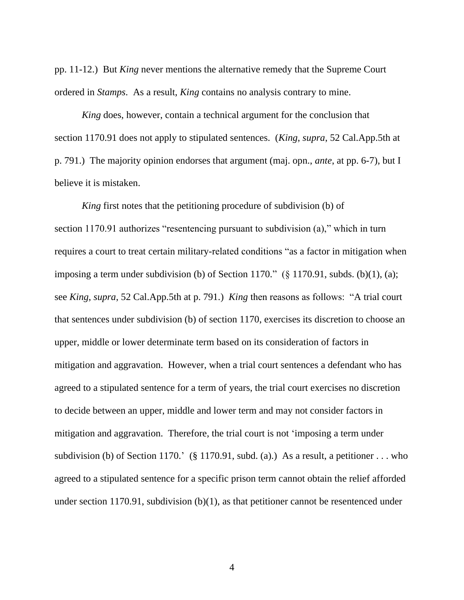pp. 11-12.) But *King* never mentions the alternative remedy that the Supreme Court ordered in *Stamps*. As a result, *King* contains no analysis contrary to mine.

*King* does, however, contain a technical argument for the conclusion that section 1170.91 does not apply to stipulated sentences. (*King*, *supra*, 52 Cal.App.5th at p. 791.) The majority opinion endorses that argument (maj. opn., *ante*, at pp. 6-7), but I believe it is mistaken.

*King* first notes that the petitioning procedure of subdivision (b) of section 1170.91 authorizes "resentencing pursuant to subdivision (a)," which in turn requires a court to treat certain military-related conditions "as a factor in mitigation when imposing a term under subdivision (b) of Section 1170." ( $\S$  1170.91, subds. (b)(1), (a); see *King*, *supra*, 52 Cal.App.5th at p. 791.) *King* then reasons as follows: "A trial court that sentences under subdivision (b) of section 1170, exercises its discretion to choose an upper, middle or lower determinate term based on its consideration of factors in mitigation and aggravation. However, when a trial court sentences a defendant who has agreed to a stipulated sentence for a term of years, the trial court exercises no discretion to decide between an upper, middle and lower term and may not consider factors in mitigation and aggravation. Therefore, the trial court is not 'imposing a term under subdivision (b) of Section 1170.' (§ 1170.91, subd. (a).) As a result, a petitioner ... who agreed to a stipulated sentence for a specific prison term cannot obtain the relief afforded under section 1170.91, subdivision (b)(1), as that petitioner cannot be resentenced under